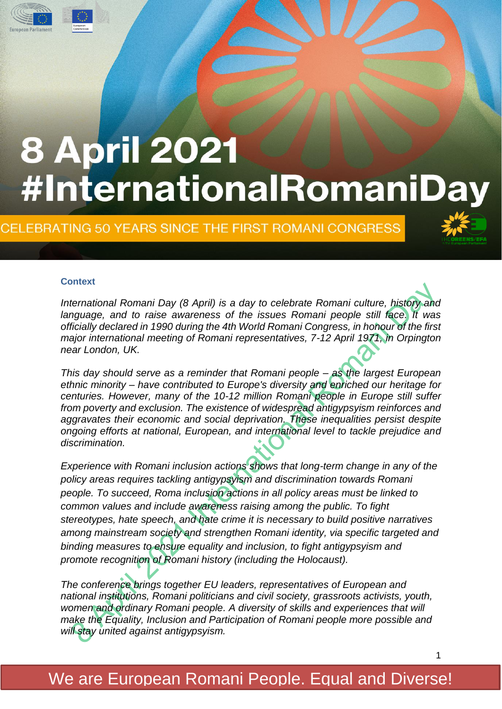

CELEBRATING 50 YEARS SINCE THE FIRST ROMANI CONGRESS



#### **Context**

*International Romani Day (8 April) is a day to celebrate Romani culture, history and language, and to raise awareness of the issues Romani people still face. It was officially declared in 1990 during the 4th World Romani Congress, in honour of the first major international meeting of Romani representatives, 7-12 April 1971, in Orpington near London, UK.*

*This day should serve as a reminder that Romani people – as the largest European ethnic minority – have contributed to Europe's diversity and enriched our heritage for centuries. However, many of the 10-12 million Romani people in Europe still suffer from poverty and exclusion. The existence of widespread antigypsyism reinforces and aggravates their economic and social deprivation. These inequalities persist despite ongoing efforts at national, European, and international level to tackle prejudice and discrimination.*

*Experience with Romani inclusion actions shows that long-term change in any of the policy areas requires tackling antigypsyism and discrimination towards Romani people. To succeed, Roma inclusion actions in all policy areas must be linked to common values and include awareness raising among the public. To fight stereotypes, hate speech, and hate crime it is necessary to build positive narratives among mainstream society and strengthen Romani identity, via specific targeted and binding measures to ensure equality and inclusion, to fight antigypsyism and promote recognition of Romani history (including the Holocaust).*

*The conference brings together EU leaders, representatives of European and national institutions, Romani politicians and civil society, grassroots activists, youth, women and ordinary Romani people. A diversity of skills and experiences that will make the Equality, Inclusion and Participation of Romani people more possible and will stay united against antigypsyism.*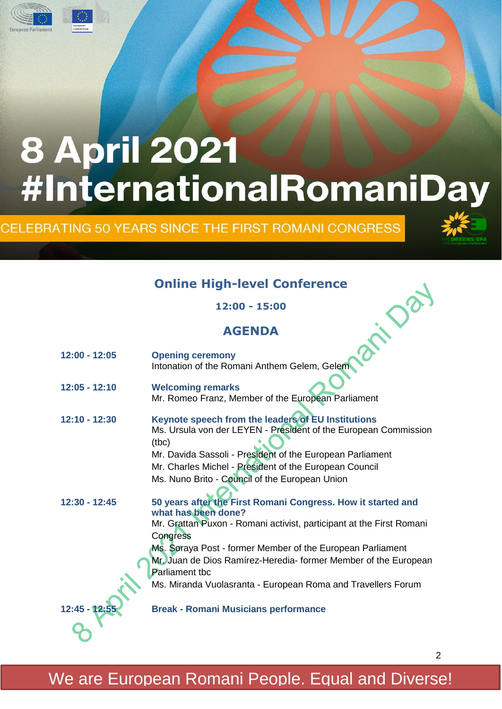

CELEBRATING 50 YEARS SINCE THE FIRST ROMANI CONGRESS



#### **Online High-level Conference**

#### **AGENDA**

| <b>Online High-level Conference</b> |                                                                                                                                                                                                                                                                                                                                                                                                   |  |
|-------------------------------------|---------------------------------------------------------------------------------------------------------------------------------------------------------------------------------------------------------------------------------------------------------------------------------------------------------------------------------------------------------------------------------------------------|--|
|                                     | 12:00 - 15:00                                                                                                                                                                                                                                                                                                                                                                                     |  |
| <b>AGENDA</b>                       |                                                                                                                                                                                                                                                                                                                                                                                                   |  |
| 12:00 - 12:05                       | <b>Opening ceremony</b><br>Intonation of the Romani Anthem Gelem, Gelem                                                                                                                                                                                                                                                                                                                           |  |
| 12:05 - 12:10                       | <b>Welcoming remarks</b><br>Mr. Romeo Franz, Member of the European Parliament                                                                                                                                                                                                                                                                                                                    |  |
| 12:10 - 12:30                       | Keynote speech from the leaders of EU Institutions<br>Ms. Ursula von der LEYEN - President of the European Commission<br>(tbc)<br>Mr. Davida Sassoli - President of the European Parliament<br>Mr. Charles Michel - President of the European Council<br>Ms. Nuno Brito - Council of the European Union                                                                                           |  |
| 12:30 - 12:45                       | 50 years after the First Romani Congress. How it started and<br>what has been done?<br>Mr. Grattan Puxon - Romani activist, participant at the First Romani<br>Congress<br>Ms. Soraya Post - former Member of the European Parliament<br>Mr. Juan de Dios Ramírez-Heredia- former Member of the European<br><b>Parliament tbc</b><br>Ms. Miranda Vuolasranta - European Roma and Travellers Forum |  |
| 12:45 - 12:55                       | <b>Break - Romani Musicians performance</b>                                                                                                                                                                                                                                                                                                                                                       |  |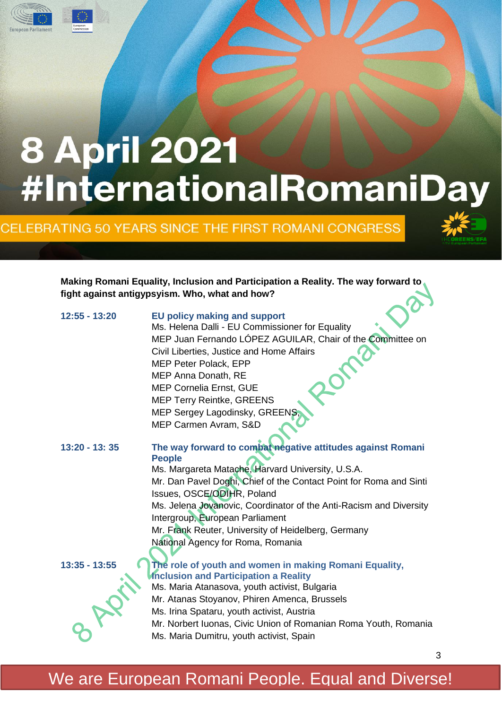

CELEBRATING 50 YEARS SINCE THE FIRST ROMANI CONGRESS



3

**Making Romani Equality, Inclusion and Participation a Reality. The way forward to fight against antigypsyism. Who, what and how?**

| 12:55 - 13:20   | <b>EU policy making and support</b><br>Ms. Helena Dalli - EU Commissioner for Equality<br>MEP Juan Fernando LÓPEZ AGUILAR, Chair of the Committee on<br>Civil Liberties, Justice and Home Affairs<br><b>MEP Peter Polack, EPP</b><br>MEP Anna Donath, RE<br><b>MEP Cornelia Ernst, GUE</b><br><b>MEP Terry Reintke, GREENS</b> |
|-----------------|--------------------------------------------------------------------------------------------------------------------------------------------------------------------------------------------------------------------------------------------------------------------------------------------------------------------------------|
|                 | MEP Sergey Lagodinsky, GREENS                                                                                                                                                                                                                                                                                                  |
|                 | MEP Carmen Avram, S&D                                                                                                                                                                                                                                                                                                          |
| $13:20 - 13:35$ | The way forward to combat negative attitudes against Romani<br><b>People</b>                                                                                                                                                                                                                                                   |
|                 | Ms. Margareta Matache, Harvard University, U.S.A.                                                                                                                                                                                                                                                                              |
|                 | Mr. Dan Pavel Doghi, Chief of the Contact Point for Roma and Sinti<br>Issues, OSCE/ODIHR, Poland                                                                                                                                                                                                                               |
|                 | Ms. Jelena Jovanovic, Coordinator of the Anti-Racism and Diversity<br>Intergroup, European Parliament                                                                                                                                                                                                                          |
|                 | Mr. Frank Reuter, University of Heidelberg, Germany                                                                                                                                                                                                                                                                            |
|                 | National Agency for Roma, Romania                                                                                                                                                                                                                                                                                              |
|                 |                                                                                                                                                                                                                                                                                                                                |
| $13:35 - 13:55$ | The role of youth and women in making Romani Equality,<br>Inclusion and Participation a Reality                                                                                                                                                                                                                                |
|                 | Ms. Maria Atanasova, youth activist, Bulgaria                                                                                                                                                                                                                                                                                  |
|                 | Mr. Atanas Stoyanov, Phiren Amenca, Brussels                                                                                                                                                                                                                                                                                   |
|                 | Ms. Irina Spataru, youth activist, Austria                                                                                                                                                                                                                                                                                     |
|                 | Mr. Norbert Iuonas, Civic Union of Romanian Roma Youth, Romania                                                                                                                                                                                                                                                                |
|                 | Ms. Maria Dumitru, youth activist, Spain                                                                                                                                                                                                                                                                                       |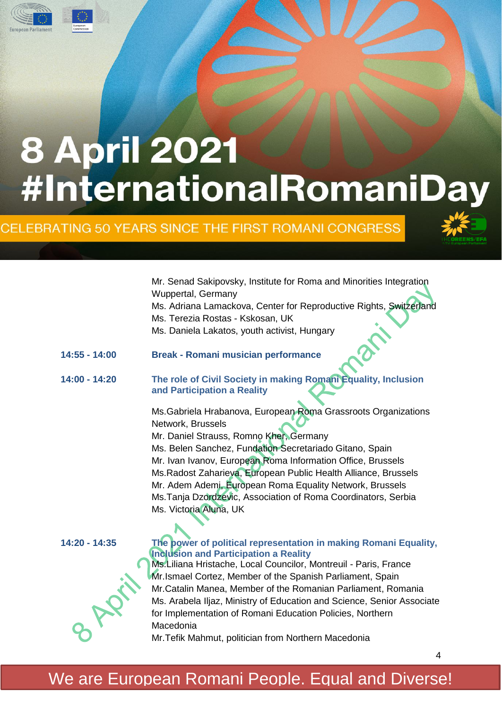

CELEBRATING 50 YEARS SINCE THE FIRST ROMANI CONGRESS



4

Mr. Senad Sakipovsky, Institute for Roma and Minorities Integration Wuppertal, Germany Ms. Adriana Lamackova, Center for Reproductive Rights, Switzerland Ms. Terezia Rostas - Kskosan, UK Ms. Daniela Lakatos, youth activist, Hungary

- **14:55 - 14:00 Break - Romani musician performance**
- **14:00 - 14:20 The role of Civil Society in making Romani Equality, Inclusion and Participation a Reality**

Ms.Gabriela Hrabanova, European Roma Grassroots Organizations Network, Brussels Mr. Daniel Strauss, Romno Kher, Germany Ms. Belen Sanchez, Fundation Secretariado Gitano, Spain Mr. Ivan Ivanov, European Roma Information Office, Brussels Ms.Radost Zaharieva, European Public Health Alliance, Brussels Mr. Adem Ademi, European Roma Equality Network, Brussels Ms.Tanja Dzordzevic, Association of Roma Coordinators, Serbia Ms. Victoria Aluna, UK



#### **14:20 - 14:35 The power of political representation in making Romani Equality, Inclusion and Participation a Reality**

Ms.Liliana Hristache, Local Councilor, Montreuil - Paris, France Mr.Ismael Cortez, Member of the Spanish Parliament, Spain Mr.Catalin Manea, Member of the Romanian Parliament, Romania Ms. Arabela Iljaz, Ministry of Education and Science, Senior Associate for Implementation of Romani Education Policies, Northern Macedonia

Mr.Tefik Mahmut, politician from Northern Macedonia